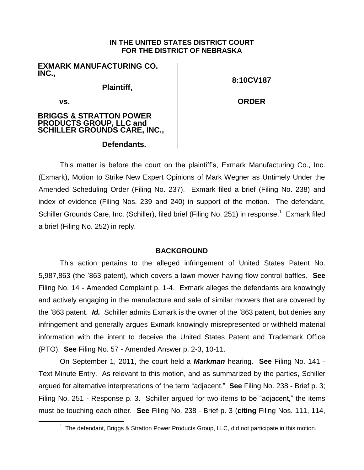# **IN THE UNITED STATES DISTRICT COURT FOR THE DISTRICT OF NEBRASKA**

**EXMARK MANUFACTURING CO. INC.,**

**Plaintiff,** 

**8:10CV187**

**vs.** 

l

**ORDER**

# **BRIGGS & STRATTON POWER PRODUCTS GROUP, LLC and SCHILLER GROUNDS CARE, INC.,**

# **Defendants.**

This matter is before the court on the plaintiff's, Exmark Manufacturing Co., Inc. (Exmark), Motion to Strike New Expert Opinions of Mark Wegner as Untimely Under the Amended Scheduling Order (Filing No. 237). Exmark filed a brief (Filing No. 238) and index of evidence (Filing Nos. 239 and 240) in support of the motion. The defendant, Schiller Grounds Care, Inc. (Schiller), filed brief (Filing No. 251) in response.<sup>1</sup> Exmark filed a brief (Filing No. 252) in reply.

# **BACKGROUND**

This action pertains to the alleged infringement of United States Patent No. 5,987,863 (the '863 patent), which covers a lawn mower having flow control baffles. **See** Filing No. 14 - Amended Complaint p. 1-4. Exmark alleges the defendants are knowingly and actively engaging in the manufacture and sale of similar mowers that are covered by the '863 patent. *Id.* Schiller admits Exmark is the owner of the '863 patent, but denies any infringement and generally argues Exmark knowingly misrepresented or withheld material information with the intent to deceive the United States Patent and Trademark Office (PTO). **See** Filing No. 57 - Amended Answer p. 2-3, 10-11.

On September 1, 2011, the court held a *Markman* hearing. **See** Filing No. 141 - Text Minute Entry. As relevant to this motion, and as summarized by the parties, Schiller argued for alternative interpretations of the term "adjacent." **See** Filing No. 238 - Brief p. 3; Filing No. 251 - Response p. 3. Schiller argued for two items to be "adjacent," the items must be touching each other. **See** Filing No. 238 - Brief p. 3 (**citing** Filing Nos. 111, 114,

<sup>&</sup>lt;sup>1</sup> The defendant, Briggs & Stratton Power Products Group, LLC, did not participate in this motion.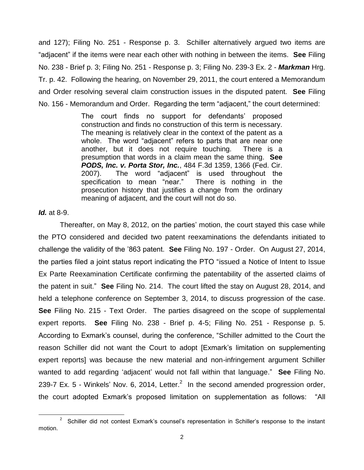and 127); Filing No. 251 - Response p. 3. Schiller alternatively argued two items are "adjacent" if the items were near each other with nothing in between the items. **See** Filing No. 238 - Brief p. 3; Filing No. 251 - Response p. 3; Filing No. 239-3 Ex. 2 - *Markman* Hrg. Tr. p. 42. Following the hearing, on November 29, 2011, the court entered a Memorandum and Order resolving several claim construction issues in the disputed patent. **See** Filing No. 156 - Memorandum and Order. Regarding the term "adjacent," the court determined:

> The court finds no support for defendants' proposed construction and finds no construction of this term is necessary. The meaning is relatively clear in the context of the patent as a whole. The word "adjacent" refers to parts that are near one another, but it does not require touching. There is a presumption that words in a claim mean the same thing. **See** *PODS, Inc. v. Porta Stor, Inc.*, 484 F.3d 1359, 1366 (Fed. Cir. 2007). The word "adjacent" is used throughout the specification to mean "near." There is nothing in the prosecution history that justifies a change from the ordinary meaning of adjacent, and the court will not do so.

### *Id.* at 8-9.

Thereafter, on May 8, 2012, on the parties' motion, the court stayed this case while the PTO considered and decided two patent reexaminations the defendants initiated to challenge the validity of the '863 patent. **See** Filing No. 197 - Order. On August 27, 2014, the parties filed a joint status report indicating the PTO "issued a Notice of Intent to Issue Ex Parte Reexamination Certificate confirming the patentability of the asserted claims of the patent in suit." **See** Filing No. 214. The court lifted the stay on August 28, 2014, and held a telephone conference on September 3, 2014, to discuss progression of the case. **See** Filing No. 215 - Text Order. The parties disagreed on the scope of supplemental expert reports. **See** Filing No. 238 - Brief p. 4-5; Filing No. 251 - Response p. 5. According to Exmark's counsel, during the conference, "Schiller admitted to the Court the reason Schiller did not want the Court to adopt [Exmark's limitation on supplementing expert reports] was because the new material and non-infringement argument Schiller wanted to add regarding 'adjacent' would not fall within that language." **See** Filing No. 239-7 Ex. 5 - Winkels' Nov. 6, 2014, Letter. $^2$  In the second amended progression order, the court adopted Exmark's proposed limitation on supplementation as follows: "All

l <sup>2</sup> Schiller did not contest Exmark's counsel's representation in Schiller's response to the instant motion.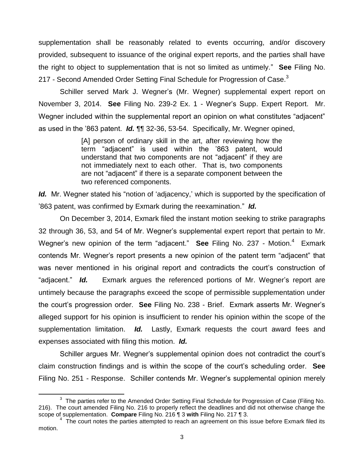supplementation shall be reasonably related to events occurring, and/or discovery provided, subsequent to issuance of the original expert reports, and the parties shall have the right to object to supplementation that is not so limited as untimely." **See** Filing No. 217 - Second Amended Order Setting Final Schedule for Progression of Case. $3$ 

Schiller served Mark J. Wegner's (Mr. Wegner) supplemental expert report on November 3, 2014. **See** Filing No. 239-2 Ex. 1 - Wegner's Supp. Expert Report. Mr. Wegner included within the supplemental report an opinion on what constitutes "adjacent" as used in the '863 patent. *Id.* ¶¶ 32-36, 53-54. Specifically, Mr. Wegner opined,

> [A] person of ordinary skill in the art, after reviewing how the term "adjacent" is used within the '863 patent, would understand that two components are not "adjacent" if they are not immediately next to each other. That is, two components are not "adjacent" if there is a separate component between the two referenced components.

Id. Mr. Wegner stated his "notion of 'adjacency,' which is supported by the specification of '863 patent, was confirmed by Exmark during the reexamination." *Id.*

On December 3, 2014, Exmark filed the instant motion seeking to strike paragraphs 32 through 36, 53, and 54 of Mr. Wegner's supplemental expert report that pertain to Mr. Wegner's new opinion of the term "adjacent." See Filing No. 237 - Motion.<sup>4</sup> Exmark contends Mr. Wegner's report presents a new opinion of the patent term "adjacent" that was never mentioned in his original report and contradicts the court's construction of "adjacent." *Id.* Exmark argues the referenced portions of Mr. Wegner's report are untimely because the paragraphs exceed the scope of permissible supplementation under the court's progression order. **See** Filing No. 238 - Brief. Exmark asserts Mr. Wegner's alleged support for his opinion is insufficient to render his opinion within the scope of the supplementation limitation. *Id.* Lastly, Exmark requests the court award fees and expenses associated with filing this motion. *Id.*

Schiller argues Mr. Wegner's supplemental opinion does not contradict the court's claim construction findings and is within the scope of the court's scheduling order. **See** Filing No. 251 - Response. Schiller contends Mr. Wegner's supplemental opinion merely

l

 $3$  The parties refer to the Amended Order Setting Final Schedule for Progression of Case (Filing No. 216). The court amended Filing No. 216 to properly reflect the deadlines and did not otherwise change the scope of supplementation. **Compare** Filing No. 216 ¶ 3 **with** Filing No. 217 ¶ 3.

 $4\,$  The court notes the parties attempted to reach an agreement on this issue before Exmark filed its motion.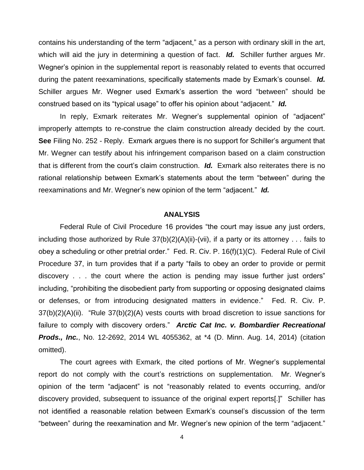contains his understanding of the term "adjacent," as a person with ordinary skill in the art, which will aid the jury in determining a question of fact. *Id.* Schiller further argues Mr. Wegner's opinion in the supplemental report is reasonably related to events that occurred during the patent reexaminations, specifically statements made by Exmark's counsel. *Id.* Schiller argues Mr. Wegner used Exmark's assertion the word "between" should be construed based on its "typical usage" to offer his opinion about "adjacent." *Id.*

In reply, Exmark reiterates Mr. Wegner's supplemental opinion of "adjacent" improperly attempts to re-construe the claim construction already decided by the court. **See** Filing No. 252 - Reply. Exmark argues there is no support for Schiller's argument that Mr. Wegner can testify about his infringement comparison based on a claim construction that is different from the court's claim construction. *Id.* Exmark also reiterates there is no rational relationship between Exmark's statements about the term "between" during the reexaminations and Mr. Wegner's new opinion of the term "adjacent." *Id.*

#### **ANALYSIS**

Federal Rule of Civil Procedure 16 provides "the court may issue any just orders, including those authorized by Rule 37(b)(2)(A)(ii)-(vii), if a party or its attorney . . . fails to obey a scheduling or other pretrial order." Fed. R. Civ. P. 16(f)(1)(C). Federal Rule of Civil Procedure 37, in turn provides that if a party "fails to obey an order to provide or permit discovery . . . the court where the action is pending may issue further just orders" including, "prohibiting the disobedient party from supporting or opposing designated claims or defenses, or from introducing designated matters in evidence." Fed. R. Civ. P. 37(b)(2)(A)(ii). "Rule 37(b)(2)(A) vests courts with broad discretion to issue sanctions for failure to comply with discovery orders." *Arctic Cat Inc. v. Bombardier Recreational Prods., Inc.*, No. 12-2692, 2014 WL 4055362, at \*4 (D. Minn. Aug. 14, 2014) (citation omitted).

The court agrees with Exmark, the cited portions of Mr. Wegner's supplemental report do not comply with the court's restrictions on supplementation. Mr. Wegner's opinion of the term "adjacent" is not "reasonably related to events occurring, and/or discovery provided, subsequent to issuance of the original expert reports[.]" Schiller has not identified a reasonable relation between Exmark's counsel's discussion of the term "between" during the reexamination and Mr. Wegner's new opinion of the term "adjacent."

4